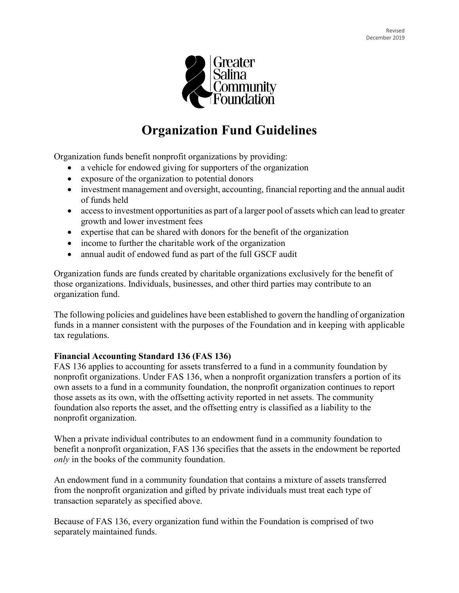

# **Organization Fund Guidelines**

Organization funds benefit nonprofit organizations by providing:

- a vehicle for endowed giving for supporters of the organization
- exposure of the organization to potential donors
- investment management and oversight, accounting, financial reporting and the annual audit of funds held
- access to investment opportunities as part of a larger pool of assets which can lead to greater growth and lower investment fees
- expertise that can be shared with donors for the benefit of the organization
- income to further the charitable work of the organization
- annual audit of endowed fund as part of the full GSCF audit

Organization funds are funds created by charitable organizations exclusively for the benefit of those organizations. Individuals, businesses, and other third parties may contribute to an organization fund.

The following policies and guidelines have been established to govern the handling of organization funds in a manner consistent with the purposes of the Foundation and in keeping with applicable tax regulations.

#### **Financial Accounting Standard 136 (FAS 136)**

FAS 136 applies to accounting for assets transferred to a fund in a community foundation by nonprofit organizations. Under FAS 136, when a nonprofit organization transfers a portion of its own assets to a fund in a community foundation, the nonprofit organization continues to report those assets as its own, with the offsetting activity reported in net assets. The community foundation also reports the asset, and the offsetting entry is classified as a liability to the nonprofit organization.

When a private individual contributes to an endowment fund in a community foundation to benefit a nonprofit organization, FAS 136 specifies that the assets in the endowment be reported *only* in the books of the community foundation.

An endowment fund in a community foundation that contains a mixture of assets transferred from the nonprofit organization and gifted by private individuals must treat each type of transaction separately as specified above.

Because of FAS 136, every organization fund within the Foundation is comprised of two separately maintained funds.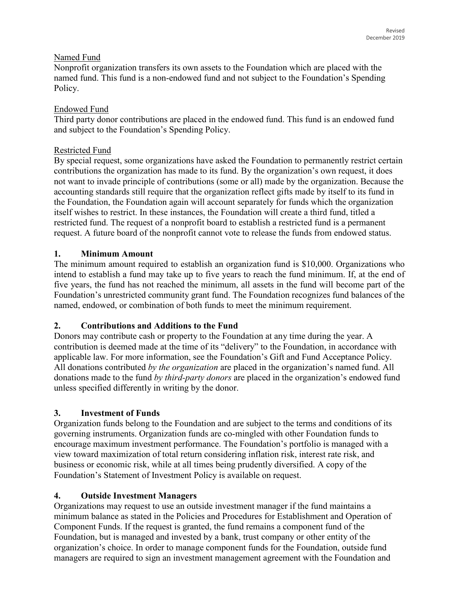## Named Fund

Nonprofit organization transfers its own assets to the Foundation which are placed with the named fund. This fund is a non-endowed fund and not subject to the Foundation's Spending Policy.

## Endowed Fund

Third party donor contributions are placed in the endowed fund. This fund is an endowed fund and subject to the Foundation's Spending Policy.

## Restricted Fund

By special request, some organizations have asked the Foundation to permanently restrict certain contributions the organization has made to its fund. By the organization's own request, it does not want to invade principle of contributions (some or all) made by the organization. Because the accounting standards still require that the organization reflect gifts made by itself to its fund in the Foundation, the Foundation again will account separately for funds which the organization itself wishes to restrict. In these instances, the Foundation will create a third fund, titled a restricted fund. The request of a nonprofit board to establish a restricted fund is a permanent request. A future board of the nonprofit cannot vote to release the funds from endowed status.

# **1. Minimum Amount**

The minimum amount required to establish an organization fund is \$10,000. Organizations who intend to establish a fund may take up to five years to reach the fund minimum. If, at the end of five years, the fund has not reached the minimum, all assets in the fund will become part of the Foundation's unrestricted community grant fund. The Foundation recognizes fund balances of the named, endowed, or combination of both funds to meet the minimum requirement.

# **2. Contributions and Additions to the Fund**

Donors may contribute cash or property to the Foundation at any time during the year. A contribution is deemed made at the time of its "delivery" to the Foundation, in accordance with applicable law. For more information, see the Foundation's Gift and Fund Acceptance Policy. All donations contributed *by the organization* are placed in the organization's named fund. All donations made to the fund *by third-party donors* are placed in the organization's endowed fund unless specified differently in writing by the donor.

# **3. Investment of Funds**

Organization funds belong to the Foundation and are subject to the terms and conditions of its governing instruments. Organization funds are co-mingled with other Foundation funds to encourage maximum investment performance. The Foundation's portfolio is managed with a view toward maximization of total return considering inflation risk, interest rate risk, and business or economic risk, while at all times being prudently diversified. A copy of the Foundation's Statement of Investment Policy is available on request.

# **4. Outside Investment Managers**

Organizations may request to use an outside investment manager if the fund maintains a minimum balance as stated in the Policies and Procedures for Establishment and Operation of Component Funds. If the request is granted, the fund remains a component fund of the Foundation, but is managed and invested by a bank, trust company or other entity of the organization's choice. In order to manage component funds for the Foundation, outside fund managers are required to sign an investment management agreement with the Foundation and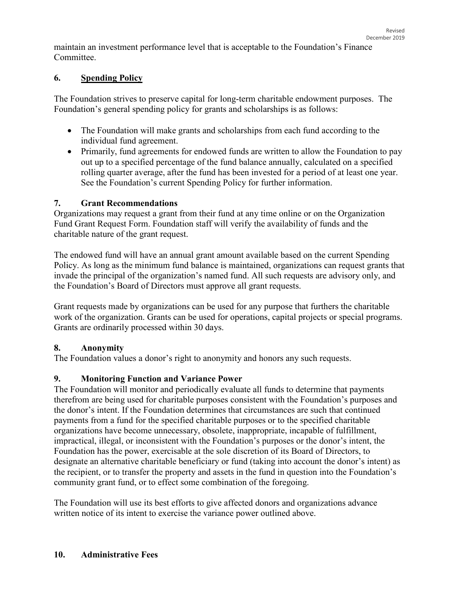maintain an investment performance level that is acceptable to the Foundation's Finance Committee.

## **6. Spending Policy**

The Foundation strives to preserve capital for long-term charitable endowment purposes. The Foundation's general spending policy for grants and scholarships is as follows:

- The Foundation will make grants and scholarships from each fund according to the individual fund agreement.
- Primarily, fund agreements for endowed funds are written to allow the Foundation to pay out up to a specified percentage of the fund balance annually, calculated on a specified rolling quarter average, after the fund has been invested for a period of at least one year. See the Foundation's current Spending Policy for further information.

## **7. Grant Recommendations**

Organizations may request a grant from their fund at any time online or on the Organization Fund Grant Request Form. Foundation staff will verify the availability of funds and the charitable nature of the grant request.

The endowed fund will have an annual grant amount available based on the current Spending Policy. As long as the minimum fund balance is maintained, organizations can request grants that invade the principal of the organization's named fund. All such requests are advisory only, and the Foundation's Board of Directors must approve all grant requests.

Grant requests made by organizations can be used for any purpose that furthers the charitable work of the organization. Grants can be used for operations, capital projects or special programs. Grants are ordinarily processed within 30 days.

## **8. Anonymity**

The Foundation values a donor's right to anonymity and honors any such requests.

## **9. Monitoring Function and Variance Power**

The Foundation will monitor and periodically evaluate all funds to determine that payments therefrom are being used for charitable purposes consistent with the Foundation's purposes and the donor's intent. If the Foundation determines that circumstances are such that continued payments from a fund for the specified charitable purposes or to the specified charitable organizations have become unnecessary, obsolete, inappropriate, incapable of fulfillment, impractical, illegal, or inconsistent with the Foundation's purposes or the donor's intent, the Foundation has the power, exercisable at the sole discretion of its Board of Directors, to designate an alternative charitable beneficiary or fund (taking into account the donor's intent) as the recipient, or to transfer the property and assets in the fund in question into the Foundation's community grant fund, or to effect some combination of the foregoing.

The Foundation will use its best efforts to give affected donors and organizations advance written notice of its intent to exercise the variance power outlined above.